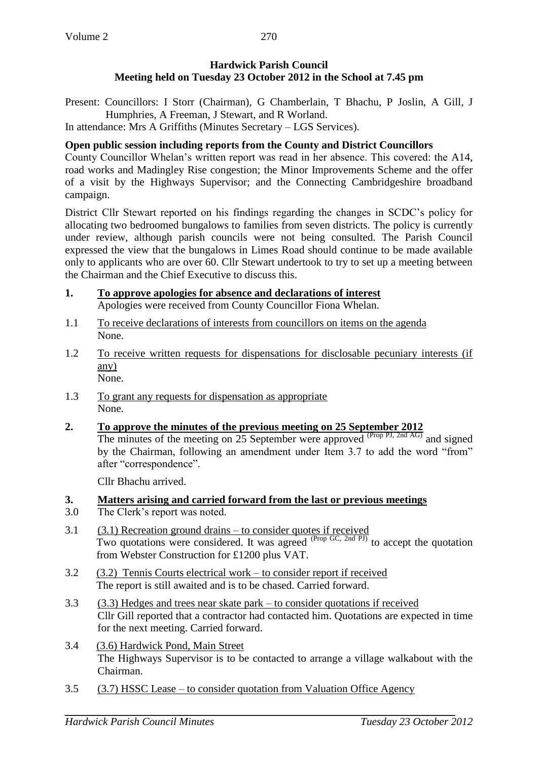## **Hardwick Parish Council Meeting held on Tuesday 23 October 2012 in the School at 7.45 pm**

Present: Councillors: I Storr (Chairman), G Chamberlain, T Bhachu, P Joslin, A Gill, J Humphries, A Freeman, J Stewart, and R Worland.

In attendance: Mrs A Griffiths (Minutes Secretary – LGS Services).

# **Open public session including reports from the County and District Councillors**

County Councillor Whelan's written report was read in her absence. This covered: the A14, road works and Madingley Rise congestion; the Minor Improvements Scheme and the offer of a visit by the Highways Supervisor; and the Connecting Cambridgeshire broadband campaign.

District Cllr Stewart reported on his findings regarding the changes in SCDC's policy for allocating two bedroomed bungalows to families from seven districts. The policy is currently under review, although parish councils were not being consulted. The Parish Council expressed the view that the bungalows in Limes Road should continue to be made available only to applicants who are over 60. Cllr Stewart undertook to try to set up a meeting between the Chairman and the Chief Executive to discuss this.

- **1. To approve apologies for absence and declarations of interest** Apologies were received from County Councillor Fiona Whelan.
- 1.1 To receive declarations of interests from councillors on items on the agenda None.
- 1.2 To receive written requests for dispensations for disclosable pecuniary interests (if any) None.
- 1.3 To grant any requests for dispensation as appropriate None.
- **2. To approve the minutes of the previous meeting on 25 September 2012** The minutes of the meeting on 25 September were approved  $(\text{Prop } P_J, 2nd AG)$  and signed by the Chairman, following an amendment under Item 3.7 to add the word "from" after "correspondence".

Cllr Bhachu arrived.

# **3. Matters arising and carried forward from the last or previous meetings**

- 3.0 The Clerk's report was noted.
- 3.1 (3.1) Recreation ground drains to consider quotes if received Two quotations were considered. It was agreed  $(Prop G, 2nd PJ)$  to accept the quotation from Webster Construction for £1200 plus VAT.
- 3.2 (3.2) Tennis Courts electrical work to consider report if received The report is still awaited and is to be chased. Carried forward.
- 3.3 (3.3) Hedges and trees near skate park to consider quotations if received Cllr Gill reported that a contractor had contacted him. Quotations are expected in time for the next meeting. Carried forward.
- 3.4 (3.6) Hardwick Pond, Main Street The Highways Supervisor is to be contacted to arrange a village walkabout with the Chairman.
- 3.5 (3.7) HSSC Lease to consider quotation from Valuation Office Agency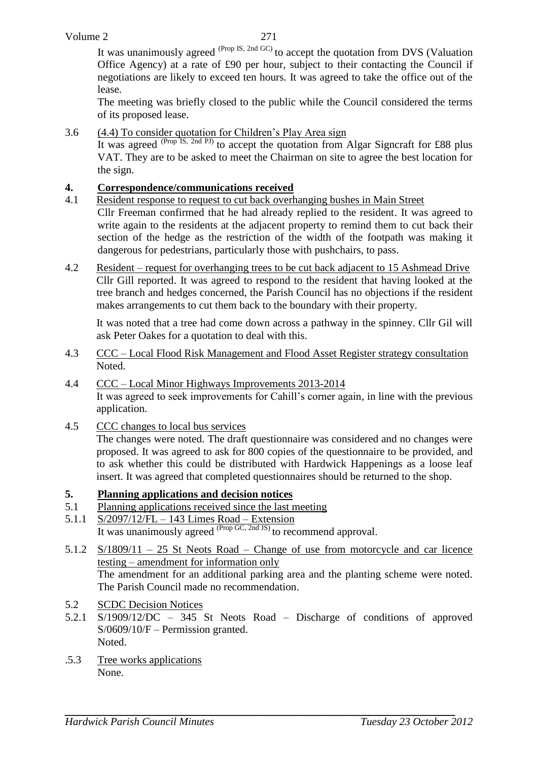It was unanimously agreed <sup>(Prop IS, 2nd GC)</sup> to accept the quotation from DVS (Valuation Office Agency) at a rate of £90 per hour, subject to their contacting the Council if negotiations are likely to exceed ten hours. It was agreed to take the office out of the lease.

The meeting was briefly closed to the public while the Council considered the terms of its proposed lease.

3.6 (4.4) To consider quotation for Children's Play Area sign

It was agreed <sup>(Prop</sup> IS, 2nd PJ) to accept the quotation from Algar Signcraft for £88 plus VAT. They are to be asked to meet the Chairman on site to agree the best location for the sign.

## **4. Correspondence/communications received**

- 4.1 Resident response to request to cut back overhanging bushes in Main Street Cllr Freeman confirmed that he had already replied to the resident. It was agreed to write again to the residents at the adjacent property to remind them to cut back their section of the hedge as the restriction of the width of the footpath was making it dangerous for pedestrians, particularly those with pushchairs, to pass.
- 4.2 Resident request for overhanging trees to be cut back adjacent to 15 Ashmead Drive Cllr Gill reported. It was agreed to respond to the resident that having looked at the tree branch and hedges concerned, the Parish Council has no objections if the resident makes arrangements to cut them back to the boundary with their property.

It was noted that a tree had come down across a pathway in the spinney. Cllr Gil will ask Peter Oakes for a quotation to deal with this.

- 4.3 CCC Local Flood Risk Management and Flood Asset Register strategy consultation Noted.
- 4.4 CCC Local Minor Highways Improvements 2013-2014 It was agreed to seek improvements for Cahill's corner again, in line with the previous application.
- 4.5 CCC changes to local bus services

The changes were noted. The draft questionnaire was considered and no changes were proposed. It was agreed to ask for 800 copies of the questionnaire to be provided, and to ask whether this could be distributed with Hardwick Happenings as a loose leaf insert. It was agreed that completed questionnaires should be returned to the shop.

## **5. Planning applications and decision notices**

- 5.1 Planning applications received since the last meeting
- 5.1.1 S/2097/12/FL 143 Limes Road Extension It was unanimously agreed  $P_{\text{top GC, 2nd JS}}$  to recommend approval.
- 5.1.2 S/1809/11 25 St Neots Road Change of use from motorcycle and car licence testing – amendment for information only The amendment for an additional parking area and the planting scheme were noted. The Parish Council made no recommendation.
- 5.2 SCDC Decision Notices
- 5.2.1 S/1909/12/DC 345 St Neots Road Discharge of conditions of approved S/0609/10/F – Permission granted. Noted.
- .5.3 Tree works applications None.